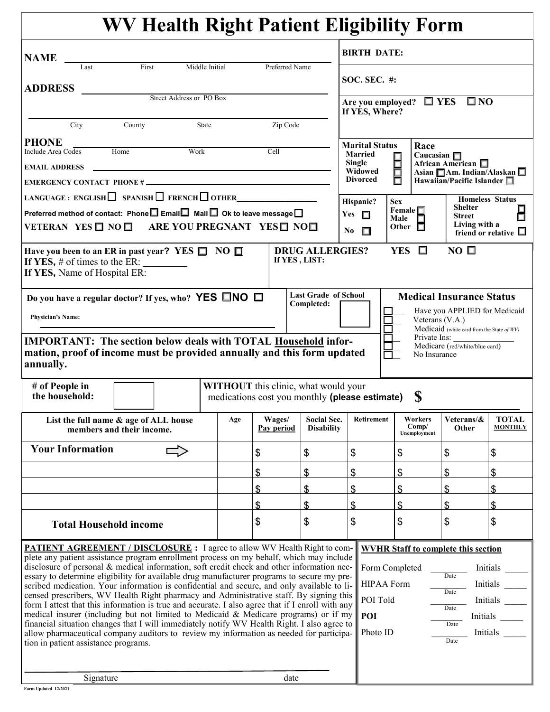|                                                                                                                                                                                                                                 | <b>WV Health Right Patient Eligibility Form</b>                                                           |     |                           |                                           |                                                                                                          |                                            |                                 |                                |  |
|---------------------------------------------------------------------------------------------------------------------------------------------------------------------------------------------------------------------------------|-----------------------------------------------------------------------------------------------------------|-----|---------------------------|-------------------------------------------|----------------------------------------------------------------------------------------------------------|--------------------------------------------|---------------------------------|--------------------------------|--|
| <b>NAME</b>                                                                                                                                                                                                                     |                                                                                                           |     |                           |                                           | <b>BIRTH DATE:</b>                                                                                       |                                            |                                 |                                |  |
| Last                                                                                                                                                                                                                            | Middle Initial<br>First                                                                                   |     | Preferred Name            |                                           | <b>SOC. SEC. #:</b>                                                                                      |                                            |                                 |                                |  |
| <b>ADDRESS</b>                                                                                                                                                                                                                  | Street Address or PO Box                                                                                  |     |                           |                                           |                                                                                                          |                                            |                                 |                                |  |
|                                                                                                                                                                                                                                 |                                                                                                           |     |                           |                                           | If YES, Where?                                                                                           | Are you employed? $\Box$ YES               | $\square$ NO                    |                                |  |
| City                                                                                                                                                                                                                            | State<br>County                                                                                           |     | Zip Code                  |                                           |                                                                                                          |                                            |                                 |                                |  |
| <b>PHONE</b>                                                                                                                                                                                                                    | Work                                                                                                      |     | Cell                      |                                           | <b>Marital Status</b>                                                                                    | Race                                       |                                 |                                |  |
| Home<br>Include Area Codes<br><b>EMAIL ADDRESS</b>                                                                                                                                                                              |                                                                                                           |     |                           |                                           | <b>Married</b><br>Caucasian $\Box$<br>88<br>88<br>Single<br>African American $\Box$                      |                                            |                                 |                                |  |
|                                                                                                                                                                                                                                 |                                                                                                           |     |                           |                                           | Widowed<br>Asian $\Box$ Am. Indian/Alaskan $\Box$<br><b>Divorced</b><br>Hawaiian/Pacific Islander $\Box$ |                                            |                                 |                                |  |
|                                                                                                                                                                                                                                 | LANGUAGE : ENGLISH SPANISH $\Box$ FRENCH $\Box$ OTHER                                                     |     |                           |                                           | Hispanic?                                                                                                | <b>Sex</b>                                 |                                 | <b>Homeless Status</b>         |  |
|                                                                                                                                                                                                                                 | Preferred method of contact: Phone $\square$ Email $\square$ Mail $\square$ Ok to leave message $\square$ |     |                           |                                           | Yes $\Box$                                                                                               | Female $\square$<br>Male                   | <b>Shelter</b><br><b>Street</b> |                                |  |
|                                                                                                                                                                                                                                 | VETERAN YES NON ARE YOU PREGNANT YES NON                                                                  |     |                           |                                           | No<br>П                                                                                                  | Other $\Box$                               | Living with a                   | friend or relative $\square$   |  |
| $NO$ $\square$<br>YES $\Box$<br><b>DRUG ALLERGIES?</b><br>Have you been to an ER in past year? YES $\Box$ NO $\Box$<br>If YES, LIST:<br>If YES, $#$ of times to the ER:<br>If YES, Name of Hospital ER:                         |                                                                                                           |     |                           |                                           |                                                                                                          |                                            |                                 |                                |  |
|                                                                                                                                                                                                                                 | Do you have a regular doctor? If yes, who? YES $\square$ NO $\square$                                     |     |                           | <b>Last Grade of School</b><br>Completed: |                                                                                                          |                                            | <b>Medical Insurance Status</b> |                                |  |
| Have you APPLIED for Medicaid<br><b>Physician's Name:</b><br>Veterans (V.A.)<br>Medicaid (white card from the State of WV)                                                                                                      |                                                                                                           |     |                           |                                           |                                                                                                          |                                            |                                 |                                |  |
| Private Ins:<br><b>IMPORTANT:</b> The section below deals with TOTAL Household infor-<br>Medicare (red/white/blue card)<br>mation, proof of income must be provided annually and this form updated<br>No Insurance<br>annually. |                                                                                                           |     |                           |                                           |                                                                                                          |                                            |                                 |                                |  |
| <b>WITHOUT</b> this clinic, what would your<br># of People in<br>S<br>the household:<br>medications cost you monthly (please estimate)                                                                                          |                                                                                                           |     |                           |                                           |                                                                                                          |                                            |                                 |                                |  |
|                                                                                                                                                                                                                                 | List the full name & age of ALL house<br>members and their income.                                        | Age | Wages/<br>Pay period      | Social Sec.<br><b>Disability</b>          | Retirement                                                                                               | Workers<br>Comp/<br>Unemployment           | Veterans/&<br>Other             | <b>TOTAL</b><br><b>MONTHLY</b> |  |
| <b>Your Information</b>                                                                                                                                                                                                         |                                                                                                           |     | \$                        | \$                                        | \$                                                                                                       | \$                                         | \$                              | \$                             |  |
|                                                                                                                                                                                                                                 |                                                                                                           |     | $\boldsymbol{\mathsf{S}}$ | \$                                        | \$                                                                                                       | \$                                         | $\mathbf{\$\}$                  | \$                             |  |
|                                                                                                                                                                                                                                 |                                                                                                           |     | $\boldsymbol{\mathsf{S}}$ | $\boldsymbol{\mathsf{S}}$                 | \$                                                                                                       | \$                                         | \$                              | \$                             |  |
|                                                                                                                                                                                                                                 |                                                                                                           |     | \$                        | \$                                        | \$                                                                                                       | \$                                         | \$                              | \$                             |  |
| <b>Total Household income</b>                                                                                                                                                                                                   |                                                                                                           |     | \$                        | \$                                        | \$                                                                                                       | \$                                         | \$                              | \$                             |  |
|                                                                                                                                                                                                                                 | PATIENT AGREEMENT / DISCLOSURE : I agree to allow WV Health Right to com-                                 |     |                           |                                           |                                                                                                          | <b>WVHR Staff to complete this section</b> |                                 |                                |  |
| plete any patient assistance program enrollment process on my behalf, which may include<br>disclosure of personal & medical information, soft credit check and other information nec-<br>Form Completed<br>Initials             |                                                                                                           |     |                           |                                           |                                                                                                          |                                            |                                 |                                |  |
| essary to determine eligibility for available drug manufacturer programs to secure my pre-<br>scribed medication. Your information is confidential and secure, and only available to li-                                        |                                                                                                           |     |                           |                                           |                                                                                                          | <b>HIPAA Form</b>                          | Date                            | Initials                       |  |
| censed prescribers, WV Health Right pharmacy and Administrative staff. By signing this                                                                                                                                          |                                                                                                           |     |                           |                                           |                                                                                                          | Date<br>POI Told<br>Initials               |                                 |                                |  |
| form I attest that this information is true and accurate. I also agree that if I enroll with any<br>medical insurer (including but not limited to Medicaid & Medicare programs) or if my                                        |                                                                                                           |     |                           |                                           |                                                                                                          | Date<br>POI<br>Initials                    |                                 |                                |  |
| financial situation changes that I will immediately notify WV Health Right. I also agree to<br>allow pharmaceutical company auditors to review my information as needed for participa-<br>tion in patient assistance programs.  |                                                                                                           |     |                           |                                           |                                                                                                          | Photo ID                                   | Date<br>Date                    | Initials                       |  |
|                                                                                                                                                                                                                                 |                                                                                                           |     |                           |                                           |                                                                                                          |                                            |                                 |                                |  |
| Signature<br>date                                                                                                                                                                                                               |                                                                                                           |     |                           |                                           |                                                                                                          |                                            |                                 |                                |  |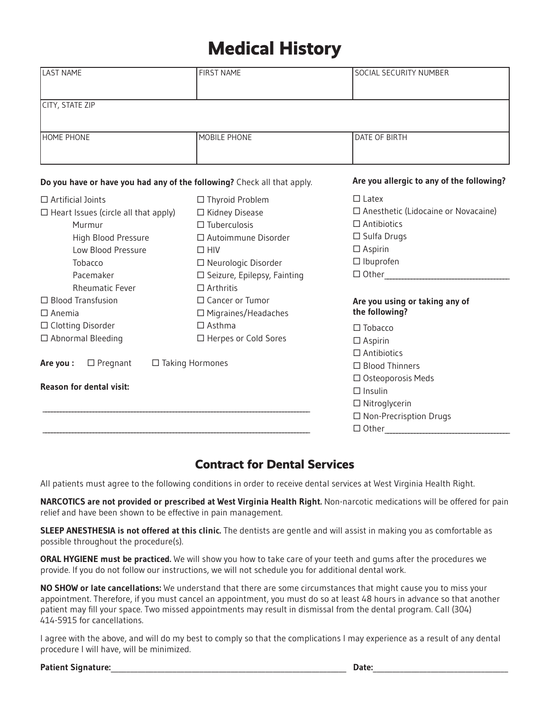# **Medical History**

| <b>LAST NAME</b>                                                        | <b>FIRST NAME</b>             | SOCIAL SECURITY NUMBER                     |  |  |
|-------------------------------------------------------------------------|-------------------------------|--------------------------------------------|--|--|
|                                                                         |                               |                                            |  |  |
| CITY, STATE ZIP                                                         |                               |                                            |  |  |
|                                                                         |                               |                                            |  |  |
| <b>HOME PHONE</b>                                                       | MOBILE PHONE                  | DATE OF BIRTH                              |  |  |
|                                                                         |                               |                                            |  |  |
| Do you have or have you had any of the following? Check all that apply. |                               | Are you allergic to any of the following?  |  |  |
| $\Box$ Artificial Joints                                                | $\Box$ Thyroid Problem        | $\Box$ Latex                               |  |  |
| $\Box$ Heart Issues (circle all that apply)                             | □ Kidney Disease              | $\Box$ Anesthetic (Lidocaine or Novacaine) |  |  |
| Murmur                                                                  | $\Box$ Tuberculosis           | $\Box$ Antibiotics                         |  |  |
| High Blood Pressure                                                     | $\Box$ Autoimmune Disorder    | $\Box$ Sulfa Drugs                         |  |  |
| Low Blood Pressure                                                      | $\Box$ HIV                    | $\square$ Aspirin                          |  |  |
| Tobacco                                                                 | □ Neurologic Disorder         | $\Box$ Ibuprofen                           |  |  |
| Pacemaker                                                               | □ Seizure, Epilepsy, Fainting | $\Box$ Other                               |  |  |
| <b>Rheumatic Fever</b>                                                  | $\Box$ Arthritis              |                                            |  |  |
| $\Box$ Blood Transfusion                                                | □ Cancer or Tumor             | Are you using or taking any of             |  |  |
| $\Box$ Anemia                                                           | $\Box$ Migraines/Headaches    | the following?                             |  |  |
| $\Box$ Clotting Disorder                                                | $\Box$ Asthma                 | $\Box$ Tobacco                             |  |  |
| □ Abnormal Bleeding                                                     | □ Herpes or Cold Sores        | $\Box$ Aspirin                             |  |  |
|                                                                         |                               | $\square$ Antibiotics                      |  |  |
| $\Box$ Pregnant<br>$\Box$ Taking Hormones<br>Are you :                  | $\Box$ Blood Thinners         |                                            |  |  |
|                                                                         | □ Osteoporosis Meds           |                                            |  |  |
| <b>Reason for dental visit:</b>                                         | $\Box$ Insulin                |                                            |  |  |
|                                                                         |                               | $\Box$ Nitroglycerin                       |  |  |
|                                                                         |                               | □ Non-Precrisption Drugs                   |  |  |
|                                                                         |                               | $\Box$ Other                               |  |  |

## **Contract for Dental Services**

All patients must agree to the following conditions in order to receive dental services at West Virginia Health Right.

**NARCOTICS are not provided or prescribed at West Virginia Health Right.** Non-narcotic medications will be offered for pain relief and have been shown to be effective in pain management.

**SLEEP ANESTHESIA is not offered at this clinic.** The dentists are gentle and will assist in making you as comfortable as possible throughout the procedure(s).

**ORAL HYGIENE must be practiced.** We will show you how to take care of your teeth and gums after the procedures we provide. If you do not follow our instructions, we will not schedule you for additional dental work.

**NO SHOW or late cancellations:** We understand that there are some circumstances that might cause you to miss your appointment. Therefore, if you must cancel an appointment, you must do so at least 48 hours in advance so that another patient may fill your space. Two missed appointments may result in dismissal from the dental program. Call (304) 414-5915 for cancellations.

I agree with the above, and will do my best to comply so that the complications I may experience as a result of any dental procedure I will have, will be minimized.

| <b>Patient Signature:</b> | Date. |
|---------------------------|-------|
|                           |       |